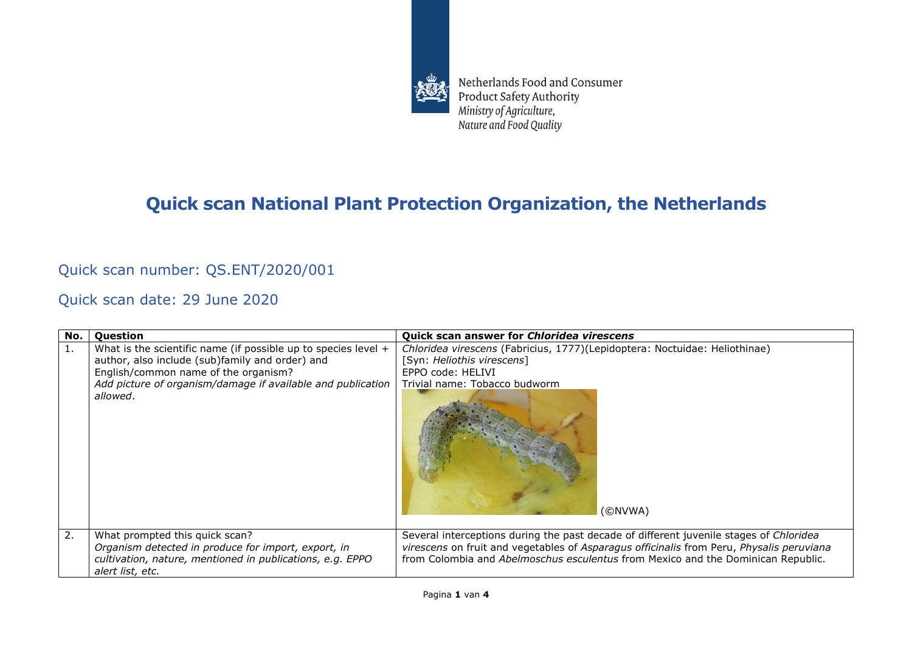

Netherlands Food and Consumer Product Safety Authority Ministry of Agriculture, Nature and Food Quality

## **Quick scan National Plant Protection Organization, the Netherlands**

## Quick scan number: QS.ENT/2020/001

Quick scan date: 29 June 2020

| No. | <b>Question</b>                                                                                                                                                                                                                        | <b>Quick scan answer for Chloridea virescens</b>                                                                                                                                                                                                                       |
|-----|----------------------------------------------------------------------------------------------------------------------------------------------------------------------------------------------------------------------------------------|------------------------------------------------------------------------------------------------------------------------------------------------------------------------------------------------------------------------------------------------------------------------|
| 1.  | What is the scientific name (if possible up to species level $+$<br>author, also include (sub)family and order) and<br>English/common name of the organism?<br>Add picture of organism/damage if available and publication<br>allowed. | Chloridea virescens (Fabricius, 1777)(Lepidoptera: Noctuidae: Heliothinae)<br>[Syn: Heliothis virescens]<br>EPPO code: HELIVI<br>Trivial name: Tobacco budworm<br>(©NVWA)                                                                                              |
| 2.  | What prompted this quick scan?<br>Organism detected in produce for import, export, in<br>cultivation, nature, mentioned in publications, e.g. EPPO<br>alert list, etc.                                                                 | Several interceptions during the past decade of different juvenile stages of Chloridea<br>virescens on fruit and vegetables of Asparagus officinalis from Peru, Physalis peruviana<br>from Colombia and Abelmoschus esculentus from Mexico and the Dominican Republic. |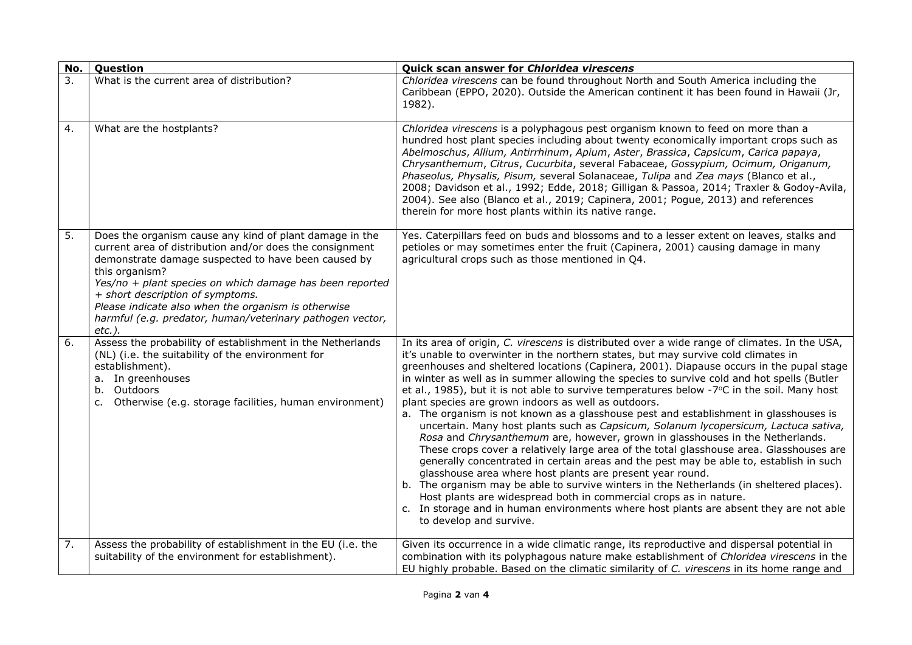| No. | Question                                                                                                                                                                                                                                                                                                                                                                                                                      | Quick scan answer for Chloridea virescens                                                                                                                                                                                                                                                                                                                                                                                                                                                                                                                                                                                                                                                                                                                                                                                                                                                                                                                                                                                                                                                                                                                                                                                                                                                                                                     |
|-----|-------------------------------------------------------------------------------------------------------------------------------------------------------------------------------------------------------------------------------------------------------------------------------------------------------------------------------------------------------------------------------------------------------------------------------|-----------------------------------------------------------------------------------------------------------------------------------------------------------------------------------------------------------------------------------------------------------------------------------------------------------------------------------------------------------------------------------------------------------------------------------------------------------------------------------------------------------------------------------------------------------------------------------------------------------------------------------------------------------------------------------------------------------------------------------------------------------------------------------------------------------------------------------------------------------------------------------------------------------------------------------------------------------------------------------------------------------------------------------------------------------------------------------------------------------------------------------------------------------------------------------------------------------------------------------------------------------------------------------------------------------------------------------------------|
| 3.  | What is the current area of distribution?                                                                                                                                                                                                                                                                                                                                                                                     | Chloridea virescens can be found throughout North and South America including the<br>Caribbean (EPPO, 2020). Outside the American continent it has been found in Hawaii (Jr,<br>1982).                                                                                                                                                                                                                                                                                                                                                                                                                                                                                                                                                                                                                                                                                                                                                                                                                                                                                                                                                                                                                                                                                                                                                        |
| 4.  | What are the hostplants?                                                                                                                                                                                                                                                                                                                                                                                                      | Chloridea virescens is a polyphagous pest organism known to feed on more than a<br>hundred host plant species including about twenty economically important crops such as<br>Abelmoschus, Allium, Antirrhinum, Apium, Aster, Brassica, Capsicum, Carica papaya,<br>Chrysanthemum, Citrus, Cucurbita, several Fabaceae, Gossypium, Ocimum, Origanum,<br>Phaseolus, Physalis, Pisum, several Solanaceae, Tulipa and Zea mays (Blanco et al.,<br>2008; Davidson et al., 1992; Edde, 2018; Gilligan & Passoa, 2014; Traxler & Godoy-Avila,<br>2004). See also (Blanco et al., 2019; Capinera, 2001; Pogue, 2013) and references<br>therein for more host plants within its native range.                                                                                                                                                                                                                                                                                                                                                                                                                                                                                                                                                                                                                                                          |
| 5.  | Does the organism cause any kind of plant damage in the<br>current area of distribution and/or does the consignment<br>demonstrate damage suspected to have been caused by<br>this organism?<br>Yes/no + plant species on which damage has been reported<br>+ short description of symptoms.<br>Please indicate also when the organism is otherwise<br>harmful (e.g. predator, human/veterinary pathogen vector,<br>$etc.$ ). | Yes. Caterpillars feed on buds and blossoms and to a lesser extent on leaves, stalks and<br>petioles or may sometimes enter the fruit (Capinera, 2001) causing damage in many<br>agricultural crops such as those mentioned in Q4.                                                                                                                                                                                                                                                                                                                                                                                                                                                                                                                                                                                                                                                                                                                                                                                                                                                                                                                                                                                                                                                                                                            |
| 6.  | Assess the probability of establishment in the Netherlands<br>(NL) (i.e. the suitability of the environment for<br>establishment).<br>a. In greenhouses<br>b. Outdoors<br>c. Otherwise (e.g. storage facilities, human environment)                                                                                                                                                                                           | In its area of origin, C. virescens is distributed over a wide range of climates. In the USA,<br>it's unable to overwinter in the northern states, but may survive cold climates in<br>greenhouses and sheltered locations (Capinera, 2001). Diapause occurs in the pupal stage<br>in winter as well as in summer allowing the species to survive cold and hot spells (Butler<br>et al., 1985), but it is not able to survive temperatures below -7°C in the soil. Many host<br>plant species are grown indoors as well as outdoors.<br>a. The organism is not known as a glasshouse pest and establishment in glasshouses is<br>uncertain. Many host plants such as Capsicum, Solanum lycopersicum, Lactuca sativa,<br>Rosa and Chrysanthemum are, however, grown in glasshouses in the Netherlands.<br>These crops cover a relatively large area of the total glasshouse area. Glasshouses are<br>generally concentrated in certain areas and the pest may be able to, establish in such<br>glasshouse area where host plants are present year round.<br>b. The organism may be able to survive winters in the Netherlands (in sheltered places).<br>Host plants are widespread both in commercial crops as in nature.<br>c. In storage and in human environments where host plants are absent they are not able<br>to develop and survive. |
| 7.  | Assess the probability of establishment in the EU (i.e. the<br>suitability of the environment for establishment).                                                                                                                                                                                                                                                                                                             | Given its occurrence in a wide climatic range, its reproductive and dispersal potential in<br>combination with its polyphagous nature make establishment of Chloridea virescens in the<br>EU highly probable. Based on the climatic similarity of C. virescens in its home range and                                                                                                                                                                                                                                                                                                                                                                                                                                                                                                                                                                                                                                                                                                                                                                                                                                                                                                                                                                                                                                                          |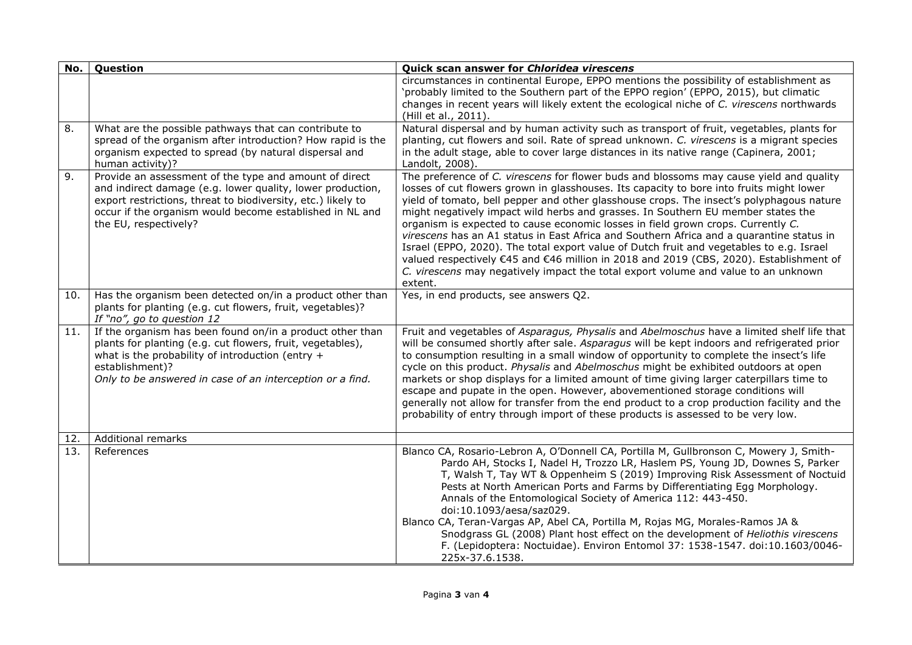| No. | Question                                                                                                                                                                                                                                                                  | Quick scan answer for Chloridea virescens                                                                                                                                                                                                                                                                                                                                                                                                                                                                                                                                                                                                                                                                                                                                                                                                  |
|-----|---------------------------------------------------------------------------------------------------------------------------------------------------------------------------------------------------------------------------------------------------------------------------|--------------------------------------------------------------------------------------------------------------------------------------------------------------------------------------------------------------------------------------------------------------------------------------------------------------------------------------------------------------------------------------------------------------------------------------------------------------------------------------------------------------------------------------------------------------------------------------------------------------------------------------------------------------------------------------------------------------------------------------------------------------------------------------------------------------------------------------------|
|     |                                                                                                                                                                                                                                                                           | circumstances in continental Europe, EPPO mentions the possibility of establishment as<br>'probably limited to the Southern part of the EPPO region' (EPPO, 2015), but climatic<br>changes in recent years will likely extent the ecological niche of C. virescens northwards<br>(Hill et al., 2011).                                                                                                                                                                                                                                                                                                                                                                                                                                                                                                                                      |
| 8.  | What are the possible pathways that can contribute to<br>spread of the organism after introduction? How rapid is the<br>organism expected to spread (by natural dispersal and<br>human activity)?                                                                         | Natural dispersal and by human activity such as transport of fruit, vegetables, plants for<br>planting, cut flowers and soil. Rate of spread unknown. C. virescens is a migrant species<br>in the adult stage, able to cover large distances in its native range (Capinera, 2001;<br>Landolt, 2008).                                                                                                                                                                                                                                                                                                                                                                                                                                                                                                                                       |
| 9.  | Provide an assessment of the type and amount of direct<br>and indirect damage (e.g. lower quality, lower production,<br>export restrictions, threat to biodiversity, etc.) likely to<br>occur if the organism would become established in NL and<br>the EU, respectively? | The preference of C. virescens for flower buds and blossoms may cause yield and quality<br>losses of cut flowers grown in glasshouses. Its capacity to bore into fruits might lower<br>yield of tomato, bell pepper and other glasshouse crops. The insect's polyphagous nature<br>might negatively impact wild herbs and grasses. In Southern EU member states the<br>organism is expected to cause economic losses in field grown crops. Currently C.<br>virescens has an A1 status in East Africa and Southern Africa and a quarantine status in<br>Israel (EPPO, 2020). The total export value of Dutch fruit and vegetables to e.g. Israel<br>valued respectively €45 and €46 million in 2018 and 2019 (CBS, 2020). Establishment of<br>C. virescens may negatively impact the total export volume and value to an unknown<br>extent. |
| 10. | Has the organism been detected on/in a product other than<br>plants for planting (e.g. cut flowers, fruit, vegetables)?<br>If "no", go to question 12                                                                                                                     | Yes, in end products, see answers Q2.                                                                                                                                                                                                                                                                                                                                                                                                                                                                                                                                                                                                                                                                                                                                                                                                      |
| 11. | If the organism has been found on/in a product other than<br>plants for planting (e.g. cut flowers, fruit, vegetables),<br>what is the probability of introduction (entry $+$<br>establishment)?<br>Only to be answered in case of an interception or a find.             | Fruit and vegetables of Asparagus, Physalis and Abelmoschus have a limited shelf life that<br>will be consumed shortly after sale. Asparagus will be kept indoors and refrigerated prior<br>to consumption resulting in a small window of opportunity to complete the insect's life<br>cycle on this product. Physalis and Abelmoschus might be exhibited outdoors at open<br>markets or shop displays for a limited amount of time giving larger caterpillars time to<br>escape and pupate in the open. However, abovementioned storage conditions will<br>generally not allow for transfer from the end product to a crop production facility and the<br>probability of entry through import of these products is assessed to be very low.                                                                                               |
| 12. | Additional remarks                                                                                                                                                                                                                                                        |                                                                                                                                                                                                                                                                                                                                                                                                                                                                                                                                                                                                                                                                                                                                                                                                                                            |
| 13. | References                                                                                                                                                                                                                                                                | Blanco CA, Rosario-Lebron A, O'Donnell CA, Portilla M, Gullbronson C, Mowery J, Smith-<br>Pardo AH, Stocks I, Nadel H, Trozzo LR, Haslem PS, Young JD, Downes S, Parker<br>T, Walsh T, Tay WT & Oppenheim S (2019) Improving Risk Assessment of Noctuid<br>Pests at North American Ports and Farms by Differentiating Egg Morphology.<br>Annals of the Entomological Society of America 112: 443-450.<br>doi:10.1093/aesa/saz029.<br>Blanco CA, Teran-Vargas AP, Abel CA, Portilla M, Rojas MG, Morales-Ramos JA &<br>Snodgrass GL (2008) Plant host effect on the development of Heliothis virescens<br>F. (Lepidoptera: Noctuidae). Environ Entomol 37: 1538-1547. doi:10.1603/0046-<br>225x-37.6.1538.                                                                                                                                  |